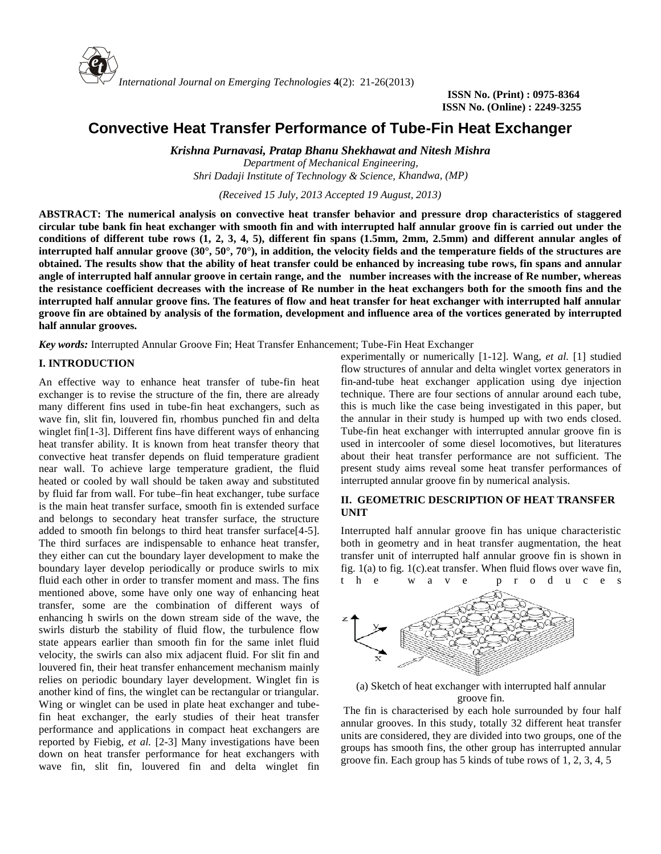

# **Convective Heat Transfer Performance of Tube-Fin Heat Exchanger**

*Krishna Purnavasi, Pratap Bhanu Shekhawat and Nitesh Mishra Department of Mechanical Engineering, Shri Dadaji Institute of Technology & Science, Khandwa, (MP)*

*(Received 15 July, 2013 Accepted 19 August, 2013)*

**ABSTRACT: The numerical analysis on convective heat transfer behavior and pressure drop characteristics of staggered circular tube bank fin heat exchanger with smooth fin and with interrupted half annular groove fin is carried out under the conditions of different tube rows (1, 2, 3, 4, 5), different fin spans (1.5mm, 2mm, 2.5mm) and different annular angles of interrupted half annular groove (30°, 50°, 70°), in addition, the velocity fields and the temperature fields of the structures are obtained. The results show that the ability of heat transfer could be enhanced by increasing tube rows, fin spans and annular angle of interrupted half annular groove in certain range, and the number increases with the increase of Re number, whereas the resistance coefficient decreases with the increase of Re number in the heat exchangers both for the smooth fins and the interrupted half annular groove fins. The features of flow and heat transfer for heat exchanger with interrupted half annular groove fin are obtained by analysis of the formation, development and influence area of the vortices generated by interrupted half annular grooves.**

*Key words:* Interrupted Annular Groove Fin; Heat Transfer Enhancement; Tube-Fin Heat Exchanger

#### **I. INTRODUCTION**

An effective way to enhance heat transfer of tube-fin heat exchanger is to revise the structure of the fin, there are already many different fins used in tube-fin heat exchangers, such as wave fin, slit fin, louvered fin, rhombus punched fin and delta winglet fin[1-3]. Different fins have different ways of enhancing heat transfer ability. It is known from heat transfer theory that convective heat transfer depends on fluid temperature gradient near wall. To achieve large temperature gradient, the fluid heated or cooled by wall should be taken away and substituted by fluid far from wall. For tube–fin heat exchanger, tube surface is the main heat transfer surface, smooth fin is extended surface and belongs to secondary heat transfer surface, the structure added to smooth fin belongs to third heat transfer surface[4-5]. The third surfaces are indispensable to enhance heat transfer, they either can cut the boundary layer development to make the boundary layer develop periodically or produce swirls to mix fluid each other in order to transfer moment and mass. The fins the mentioned above, some have only one way of enhancing heat transfer, some are the combination of different ways of enhancing h swirls on the down stream side of the wave, the swirls disturb the stability of fluid flow, the turbulence flow state appears earlier than smooth fin for the same inlet fluid velocity, the swirls can also mix adjacent fluid. For slit fin and louvered fin, their heat transfer enhancement mechanism mainly relies on periodic boundary layer development. Winglet fin is another kind of fins, the winglet can be rectangular or triangular. Wing or winglet can be used in plate heat exchanger and tubefin heat exchanger, the early studies of their heat transfer performance and applications in compact heat exchangers are reported by Fiebig, *et al.* [2-3] Many investigations have been down on heat transfer performance for heat exchangers with wave fin, slit fin, louvered fin and delta winglet fin

experimentally or numerically [1-12]. Wang, *et al.* [1] studied flow structures of annular and delta winglet vortex generators in fin-and-tube heat exchanger application using dye injection technique. There are four sections of annular around each tube, this is much like the case being investigated in this paper, but the annular in their study is humped up with two ends closed. Tube-fin heat exchanger with interrupted annular groove fin is used in intercooler of some diesel locomotives, but literatures about their heat transfer performance are not sufficient. The present study aims reveal some heat transfer performances of interrupted annular groove fin by numerical analysis.

# **II. GEOMETRIC DESCRIPTION OF HEAT TRANSFER UNIT**

Interrupted half annular groove fin has unique characteristic both in geometry and in heat transfer augmentation, the heat transfer unit of interrupted half annular groove fin is shown in fig. 1(a) to fig. 1(c).eat transfer. When fluid flows over wave fin, Interrupted half annular groove fin has unique characteristic<br>both in geometry and in heat transfer augmentation, the heat<br>transfer unit of interrupted half annular groove fin is shown in<br>fig. 1(a) to fig. 1(c) eat transf



(a) Sketch of heat exchanger with interrupted half annular groove fin.

The fin is characterised by each hole surrounded by four half annular grooves. In this study, totally 32 different heat transfer units are considered, they are divided into two groups, one of the groups has smooth fins, the other group has interrupted annular groove fin. Each group has 5 kinds of tube rows of 1, 2, 3, 4, 5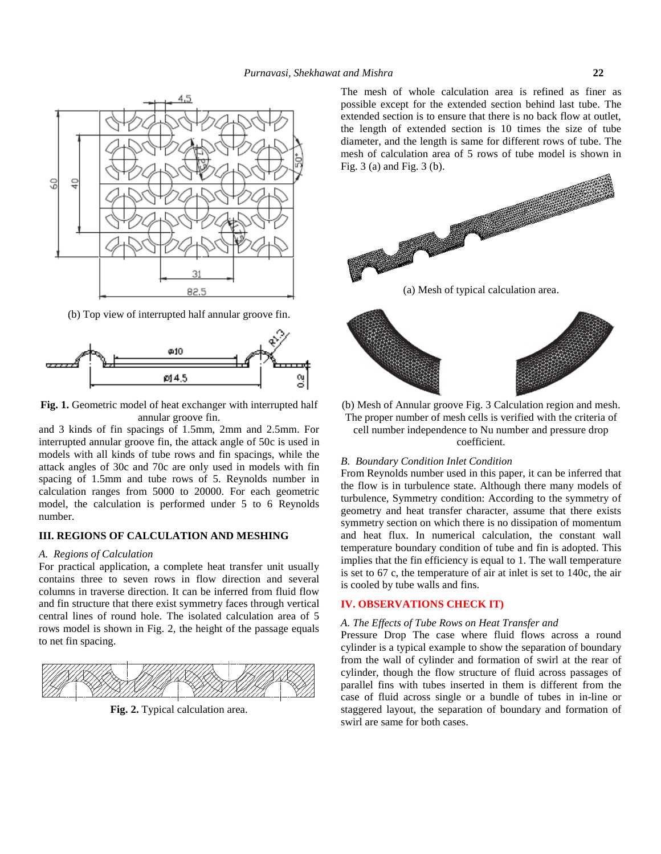

(b) Top view of interrupted half annular groove fin.



**Fig. 1.** Geometric model of heat exchanger with interrupted half annular groove fin.

and 3 kinds of fin spacings of 1.5mm, 2mm and 2.5mm. For interrupted annular groove fin, the attack angle of 50c is used in models with all kinds of tube rows and fin spacings, while the attack angles of 30c and 70c are only used in models with fin spacing of 1.5mm and tube rows of 5. Reynolds number in calculation ranges from 5000 to 20000. For each geometric model, the calculation is performed under 5 to 6 Reynolds number.

#### **III. REGIONS OF CALCULATION AND MESHING**

#### *A. Regions of Calculation*

For practical application, a complete heat transfer unit usually contains three to seven rows in flow direction and several columns in traverse direction. It can be inferred from fluid flow and fin structure that there exist symmetry faces through vertical central lines of round hole. The isolated calculation area of 5 rows model is shown in Fig. 2, the height of the passage equals to net fin spacing.



**Fig. 2.** Typical calculation area.

The mesh of whole calculation area is refined as finer as possible except for the extended section behind last tube. The extended section is to ensure that there is no back flow at outlet, the length of extended section is 10 times the size of tube diameter, and the length is same for different rows of tube. The mesh of calculation area of 5 rows of tube model is shown in Fig. 3 (a) and Fig. 3 (b).



(b) Mesh of Annular groove Fig. 3 Calculation region and mesh. The proper number of mesh cells is verified with the criteria of cell number independence to Nu number and pressure drop coefficient.

# *B. Boundary Condition Inlet Condition*

From Reynolds number used in this paper, it can be inferred that the flow is in turbulence state. Although there many models of turbulence, Symmetry condition: According to the symmetry of geometry and heat transfer character, assume that there exists symmetry section on which there is no dissipation of momentum and heat flux. In numerical calculation, the constant wall temperature boundary condition of tube and fin is adopted. This implies that the fin efficiency is equal to 1. The wall temperature is set to 67 c, the temperature of air at inlet is set to 140c, the air is cooled by tube walls and fins.

# **IV. OBSERVATIONS CHECK IT)**

## *A. The Effects of Tube Rows on Heat Transfer and*

Pressure Drop The case where fluid flows across a round cylinder is a typical example to show the separation of boundary from the wall of cylinder and formation of swirl at the rear of cylinder, though the flow structure of fluid across passages of parallel fins with tubes inserted in them is different from the case of fluid across single or a bundle of tubes in in-line or staggered layout, the separation of boundary and formation of swirl are same for both cases.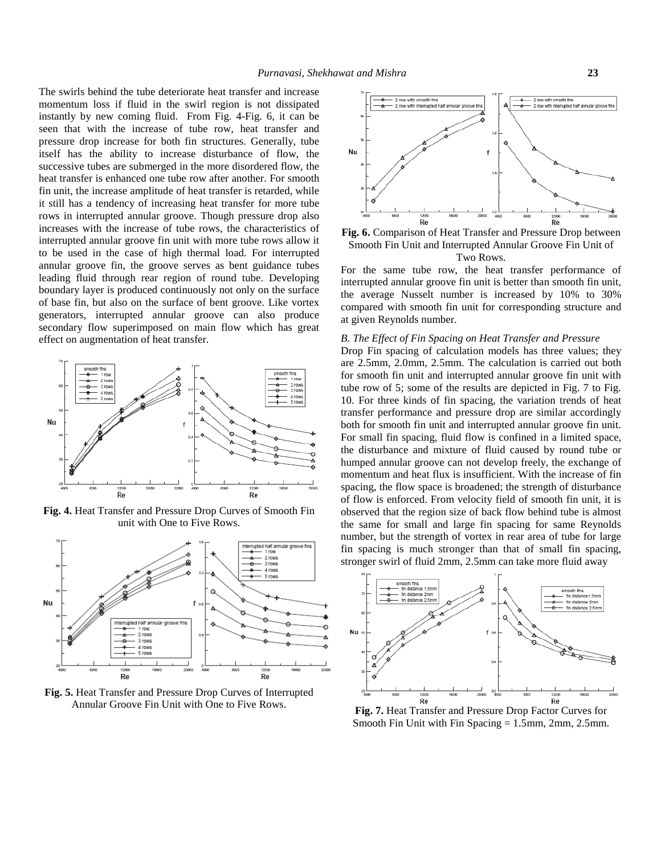The swirls behind the tube deteriorate heat transfer and increase momentum loss if fluid in the swirl region is not dissipated instantly by new coming fluid. From Fig. 4-Fig. 6, it can be seen that with the increase of tube row, heat transfer and pressure drop increase for both fin structures. Generally, tube<br>itself has the shility to increase disturbance of flow the itself has the ability to increase disturbance of flow, the successive tubes are submerged in the more disordered flow, the heat transfer is enhanced one tube row after another. For smooth fin unit, the increase amplitude of heat transfer is retarded, while it still has a tendency of increasing heat transfer for more tube rows in interrupted annular groove. Though pressure drop also increases with the increase of tube rows, the characteristics of interrupted annular groove fin unit with more tube rows allow it to be used in the case of high thermal load. For interrupted annular groove fin, the groove serves as bent guidance tubes leading fluid through rear region of round tube. Developing boundary layer is produced continuously not only on the surface of base fin, but also on the surface of bent groove. Like vortex generators, interrupted annular groove can also produce secondary flow superimposed on main flow which has great effect on augmentation of heat transfer.



**Fig. 4.** Heat Transfer and Pressure Drop Curves of Smooth Fin unit with One to Five Rows.



**Fig. 5.** Heat Transfer and Pressure Drop Curves of Interrupted Annular Groove Fin Unit with One to Five Rows.



**Fig. 6.** Comparison of Heat Transfer and Pressure Drop between Smooth Fin Unit and Interrupted Annular Groove Fin Unit of Two Rows.

For the same tube row, the heat transfer performance of interrupted annular groove fin unit is better than smooth fin unit, the average Nusselt number is increased by 10% to 30% compared with smooth fin unit for corresponding structure and at given Reynolds number.

# *B. The Effect of Fin Spacing on Heat Transfer and Pressure*

Drop Fin spacing of calculation models has three values; they are 2.5mm, 2.0mm, 2.5mm. The calculation is carried out both for smooth fin unit and interrupted annular groove fin unit with tube row of 5; some of the results are depicted in Fig. 7 to Fig. 10. For three kinds of fin spacing, the variation trends of heat transfer performance and pressure drop are similar accordingly both for smooth fin unit and interrupted annular groove fin unit. For small fin spacing, fluid flow is confined in a limited space, the disturbance and mixture of fluid caused by round tube or humped annular groove can not develop freely, the exchange of momentum and heat flux is insufficient. With the increase of fin spacing, the flow space is broadened; the strength of disturbance of flow is enforced. From velocity field of smooth fin unit, it is observed that the region size of back flow behind tube is almost the same for small and large fin spacing for same Reynolds number, but the strength of vortex in rear area of tube for large fin spacing is much stronger than that of small fin spacing, stronger swirl of fluid 2mm, 2.5mm can take more fluid away



**Fig. 7.** Heat Transfer and Pressure Drop Factor Curves for Smooth Fin Unit with Fin Spacing = 1.5mm, 2mm, 2.5mm.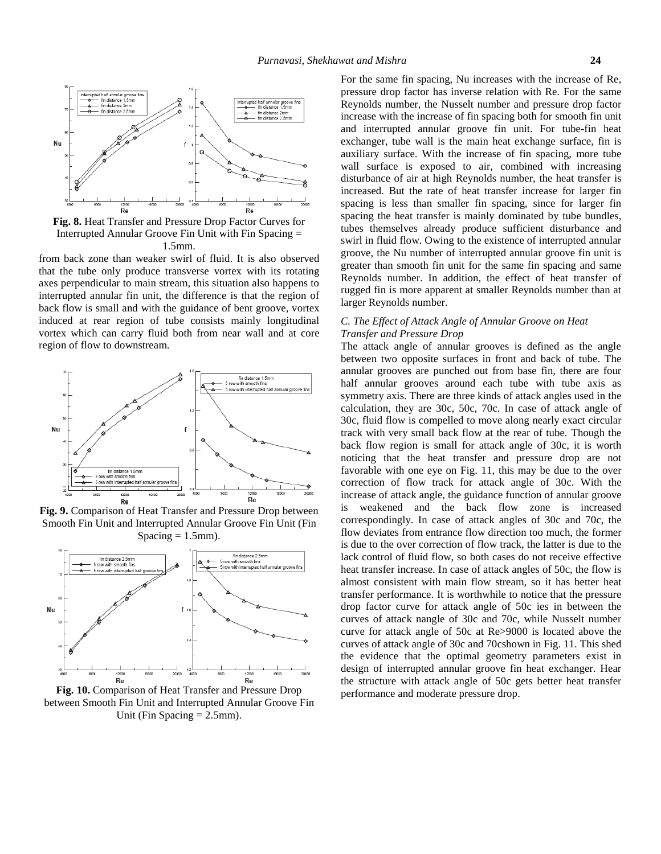

**Fig. 8.** Heat Transfer and Pressure Drop Factor Curves for Interrupted Annular Groove Fin Unit with Fin Spacing = 1.5mm.

from back zone than weaker swirl of fluid. It is also observed that the tube only produce transverse vortex with its rotating axes perpendicular to main stream, this situation also happens to interrupted annular fin unit, the difference is that the region of back flow is small and with the guidance of bent groove, vortex induced at rear region of tube consists mainly longitudinal vortex which can carry fluid both from near wall and at core region of flow to downstream.



**Fig. 9.** Comparison of Heat Transfer and Pressure Drop between Smooth Fin Unit and Interrupted Annular Groove Fin Unit (Fin  $Spacing = 1.5mm$ ).



**Fig. 10.** Comparison of Heat Transfer and Pressure Drop between Smooth Fin Unit and Interrupted Annular Groove Fin Unit (Fin Spacing  $= 2.5$ mm).

For the same fin spacing, Nu increases with the increase of Re, pressure drop factor has inverse relation with Re. For the same Reynolds number, the Nusselt number and pressure drop factor increase with the increase of fin spacing both for smooth fin unit and interrupted annular groove fin unit. For tube-fin heat exchanger, tube wall is the main heat exchange surface, fin is auxiliary surface. With the increase of fin spacing, more tube wall surface is exposed to air, combined with increasing disturbance of air at high Reynolds number, the heat transfer is increased. But the rate of heat transfer increase for larger fin spacing is less than smaller fin spacing, since for larger fin spacing the heat transfer is mainly dominated by tube bundles, tubes themselves already produce sufficient disturbance and swirl in fluid flow. Owing to the existence of interrupted annular groove, the Nu number of interrupted annular groove fin unit is greater than smooth fin unit for the same fin spacing and same Reynolds number. In addition, the effect of heat transfer of rugged fin is more apparent at smaller Reynolds number than at larger Reynolds number.

# *C. The Effect of Attack Angle of Annular Groove on Heat Transfer and Pressure Drop*

The attack angle of annular grooves is defined as the angle between two opposite surfaces in front and back of tube. The annular grooves are punched out from base fin, there are four half annular grooves around each tube with tube axis as symmetry axis. There are three kinds of attack angles used in the calculation, they are 30c, 50c, 70c. In case of attack angle of 30c, fluid flow is compelled to move along nearly exact circular track with very small back flow at the rear of tube. Though the back flow region is small for attack angle of 30c, it is worth noticing that the heat transfer and pressure drop are not favorable with one eye on Fig. 11, this may be due to the over correction of flow track for attack angle of 30c. With the increase of attack angle, the guidance function of annular groove weakened and the back flow zone is increased correspondingly. In case of attack angles of 30c and 70c, the flow deviates from entrance flow direction too much, the former is due to the over correction of flow track, the latter is due to the lack control of fluid flow, so both cases do not receive effective heat transfer increase. In case of attack angles of 50c, the flow is almost consistent with main flow stream, so it has better heat transfer performance. It is worthwhile to notice that the pressure drop factor curve for attack angle of 50c ies in between the curves of attack nangle of 30c and 70c, while Nusselt number curve for attack angle of 50c at Re>9000 is located above the curves of attack angle of 30c and 70cshown in Fig. 11. This shed the evidence that the optimal geometry parameters exist in design of interrupted annular groove fin heat exchanger. Hear the structure with attack angle of 50c gets better heat transfer performance and moderate pressure drop.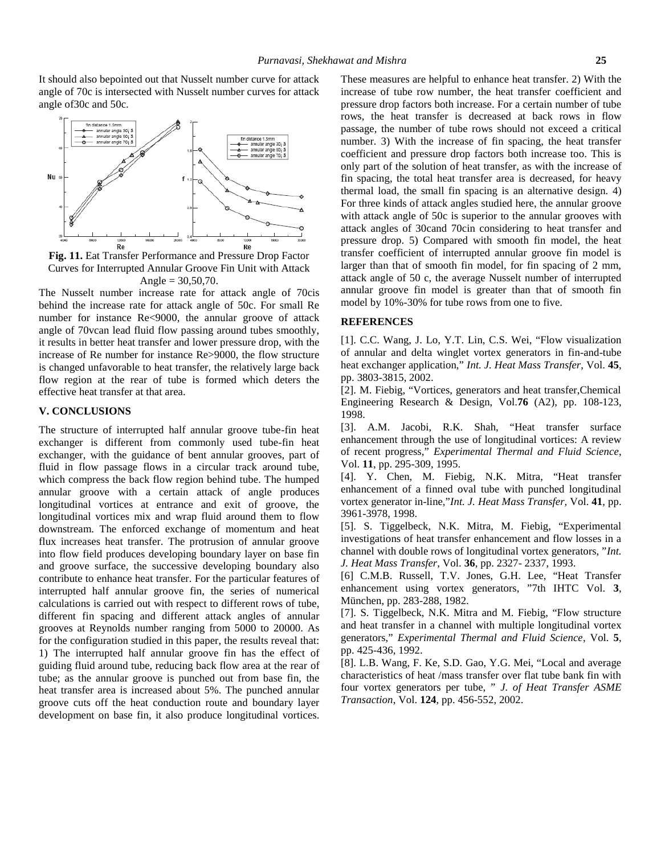It should also bepointed out that Nusselt number curve for attack angle of 70c is intersected with Nusselt number curves for attack angle of30c and 50c.



**Fig. 11.** Eat Transfer Performance and Pressure Drop Factor Curves for Interrupted Annular Groove Fin Unit with Attack Angle =  $30,50,70$ .

The Nusselt number increase rate for attack angle of 70cis behind the increase rate for attack angle of 50c. For small Re number for instance Re<9000, the annular groove of attack angle of 70vcan lead fluid flow passing around tubes smoothly, it results in better heat transfer and lower pressure drop, with the increase of Re number for instance Re>9000, the flow structure is changed unfavorable to heat transfer, the relatively large back flow region at the rear of tube is formed which deters the effective heat transfer at that area.

# **V. CONCLUSIONS**

The structure of interrupted half annular groove tube-fin heat exchanger is different from commonly used tube-fin heat exchanger, with the guidance of bent annular grooves, part of fluid in flow passage flows in a circular track around tube, which compress the back flow region behind tube. The humped annular groove with a certain attack of angle produces longitudinal vortices at entrance and exit of groove, the longitudinal vortices mix and wrap fluid around them to flow downstream. The enforced exchange of momentum and heat flux increases heat transfer. The protrusion of annular groove into flow field produces developing boundary layer on base fin and groove surface, the successive developing boundary also contribute to enhance heat transfer. For the particular features of interrupted half annular groove fin, the series of numerical calculations is carried out with respect to different rows of tube, different fin spacing and different attack angles of annular grooves at Reynolds number ranging from 5000 to 20000. As for the configuration studied in this paper, the results reveal that: 1) The interrupted half annular groove fin has the effect of guiding fluid around tube, reducing back flow area at the rear of tube; as the annular groove is punched out from base fin, the heat transfer area is increased about 5%. The punched annular groove cuts off the heat conduction route and boundary layer development on base fin, it also produce longitudinal vortices.

These measures are helpful to enhance heat transfer. 2) With the increase of tube row number, the heat transfer coefficient and pressure drop factors both increase. For a certain number of tube rows, the heat transfer is decreased at back rows in flow passage, the number of tube rows should not exceed a critical number. 3) With the increase of fin spacing, the heat transfer coefficient and pressure drop factors both increase too. This is only part of the solution of heat transfer, as with the increase of fin spacing, the total heat transfer area is decreased, for heavy thermal load, the small fin spacing is an alternative design. 4) For three kinds of attack angles studied here, the annular groove with attack angle of 50c is superior to the annular grooves with attack angles of 30cand 70cin considering to heat transfer and pressure drop. 5) Compared with smooth fin model, the heat transfer coefficient of interrupted annular groove fin model is larger than that of smooth fin model, for fin spacing of 2 mm, attack angle of 50 c, the average Nusselt number of interrupted annular groove fin model is greater than that of smooth fin model by 10%-30% for tube rows from one to five.

#### **REFERENCES**

[1]. C.C. Wang, J. Lo, Y.T. Lin, C.S. Wei, "Flow visualization of annular and delta winglet vortex generators in fin-and-tube heat exchanger application," *Int. J. Heat Mass Transfer*, Vol. **45**, pp. 3803-3815, 2002.

[2]. M. Fiebig, "Vortices, generators and heat transfer,Chemical Engineering Research & Design, Vol.**76** (A2), pp. 108-123, 1998.

[3]. A.M. Jacobi, R.K. Shah, "Heat transfer surface enhancement through the use of longitudinal vortices: A review of recent progress," *Experimental Thermal and Fluid Science*, Vol. **11**, pp. 295-309, 1995.

[4]. Y. Chen, M. Fiebig, N.K. Mitra, "Heat transfer enhancement of a finned oval tube with punched longitudinal vortex generator in-line,"*Int. J. Heat Mass Transfer,* Vol. **41**, pp. 3961-3978, 1998.

[5]. S. Tiggelbeck, N.K. Mitra, M. Fiebig, "Experimental investigations of heat transfer enhancement and flow losses in a channel with double rows of longitudinal vortex generators, "*Int. J. Heat Mass Transfer*, Vol. **36**, pp. 2327- 2337, 1993.

[6] C.M.B. Russell, T.V. Jones, G.H. Lee, "Heat Transfer enhancement using vortex generators, "7th IHTC Vol. **3**, München, pp. 283-288, 1982.

[7]. S. Tiggelbeck, N.K. Mitra and M. Fiebig, "Flow structure and heat transfer in a channel with multiple longitudinal vortex generators," *Experimental Thermal and Fluid Science*, Vol. **5**, pp. 425-436, 1992.

[8]. L.B. Wang, F. Ke, S.D. Gao, Y.G. Mei, "Local and average characteristics of heat /mass transfer over flat tube bank fin with four vortex generators per tube, " *J. of Heat Transfer ASME Transaction*, Vol. **124**, pp. 456-552, 2002.